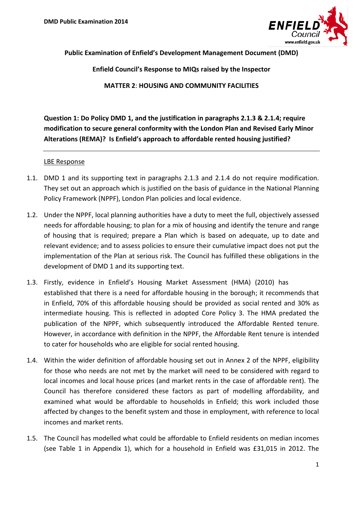

**Public Examination of Enfield's Development Management Document (DMD)** 

**Enfield Council's Response to MIQs raised by the Inspector** 

**MATTER 2**: **HOUSING AND COMMUNITY FACILITIES**

**Question 1: Do Policy DMD 1, and the justification in paragraphs 2.1.3 & 2.1.4; require modification to secure general conformity with the London Plan and Revised Early Minor Alterations (REMA)? Is Enfield's approach to affordable rented housing justified?**

#### LBE Response

- 1.1. DMD 1 and its supporting text in paragraphs 2.1.3 and 2.1.4 do not require modification. They set out an approach which is justified on the basis of guidance in the National Planning Policy Framework (NPPF), London Plan policies and local evidence.
- 1.2. Under the NPPF, local planning authorities have a duty to meet the full, objectively assessed needs for affordable housing; to plan for a mix of housing and identify the tenure and range of housing that is required; prepare a Plan which is based on adequate, up to date and relevant evidence; and to assess policies to ensure their cumulative impact does not put the implementation of the Plan at serious risk. The Council has fulfilled these obligations in the development of DMD 1 and its supporting text.
- 1.3. Firstly, evidence in Enfield's Housing Market Assessment (HMA) (2010) has established that there is a need for affordable housing in the borough; it recommends that in Enfield, 70% of this affordable housing should be provided as social rented and 30% as intermediate housing. This is reflected in adopted Core Policy 3. The HMA predated the publication of the NPPF, which subsequently introduced the Affordable Rented tenure. However, in accordance with definition in the NPPF, the Affordable Rent tenure is intended to cater for households who are eligible for social rented housing.
- <span id="page-0-0"></span>1.4. Within the wider definition of affordable housing set out in Annex 2 of the NPPF, eligibility for those who needs are not met by the market will need to be considered with regard to local incomes and local house prices (and market rents in the case of affordable rent). The Council has therefore considered these factors as part of modelling affordability, and examined what would be affordable to households in Enfield; this work included those affected by changes to the benefit system and those in employment, with reference to local incomes and market rents.
- 1.5. The Council has modelled what could be affordable to Enfield residents on median incomes (see Table 1 in Appendix 1), which for a household in Enfield was £31,015 in 2012. The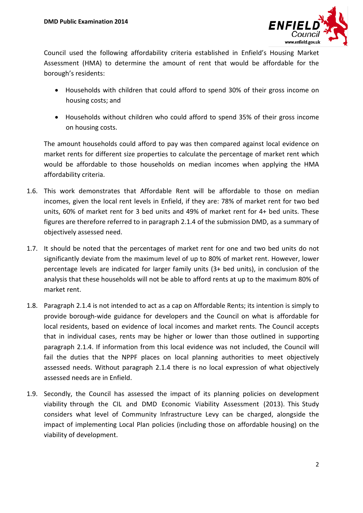

Council used the following affordability criteria established in Enfield's Housing Market Assessment (HMA) to determine the amount of rent that would be affordable for the borough's residents:

- Households with children that could afford to spend 30% of their gross income on housing costs; and
- Households without children who could afford to spend 35% of their gross income on housing costs.

The amount households could afford to pay was then compared against local evidence on market rents for different size properties to calculate the percentage of market rent which would be affordable to those households on median incomes when applying the HMA affordability criteria.

- 1.6. This work demonstrates that Affordable Rent will be affordable to those on median incomes, given the local rent levels in Enfield, if they are: 78% of market rent for two bed units, 60% of market rent for 3 bed units and 49% of market rent for 4+ bed units. These figures are therefore referred to in paragraph 2.1.4 of the submission DMD, as a summary of objectively assessed need.
- 1.7. It should be noted that the percentages of market rent for one and two bed units do not significantly deviate from the maximum level of up to 80% of market rent. However, lower percentage levels are indicated for larger family units (3+ bed units), in conclusion of the analysis that these households will not be able to afford rents at up to the maximum 80% of market rent.
- 1.8. Paragraph 2.1.4 is not intended to act as a cap on Affordable Rents; its intention is simply to provide borough-wide guidance for developers and the Council on what is affordable for local residents, based on evidence of local incomes and market rents. The Council accepts that in individual cases, rents may be higher or lower than those outlined in supporting paragraph 2.1.4. If information from this local evidence was not included, the Council will fail the duties that the NPPF places on local planning authorities to meet objectively assessed needs. Without paragraph 2.1.4 there is no local expression of what objectively assessed needs are in Enfield.
- 1.9. Secondly, the Council has assessed the impact of its planning policies on development viability through the CIL and DMD Economic Viability Assessment (2013). This Study considers what level of Community Infrastructure Levy can be charged, alongside the impact of implementing Local Plan policies (including those on affordable housing) on the viability of development.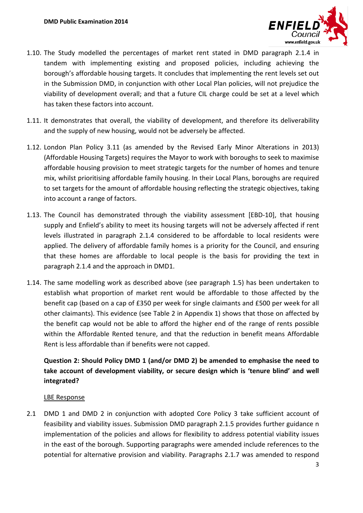

- 1.10. The Study modelled the percentages of market rent stated in DMD paragraph 2.1.4 in tandem with implementing existing and proposed policies, including achieving the borough's affordable housing targets. It concludes that implementing the rent levels set out in the Submission DMD, in conjunction with other Local Plan policies, will not prejudice the viability of development overall; and that a future CIL charge could be set at a level which has taken these factors into account.
- 1.11. It demonstrates that overall, the viability of development, and therefore its deliverability and the supply of new housing, would not be adversely be affected.
- 1.12. London Plan Policy 3.11 (as amended by the Revised Early Minor Alterations in 2013) (Affordable Housing Targets) requires the Mayor to work with boroughs to seek to maximise affordable housing provision to meet strategic targets for the number of homes and tenure mix, whilst prioritising affordable family housing. In their Local Plans, boroughs are required to set targets for the amount of affordable housing reflecting the strategic objectives, taking into account a range of factors.
- 1.13. The Council has demonstrated through the viability assessment [EBD-10], that housing supply and Enfield's ability to meet its housing targets will not be adversely affected if rent levels illustrated in paragraph 2.1.4 considered to be affordable to local residents were applied. The delivery of affordable family homes is a priority for the Council, and ensuring that these homes are affordable to local people is the basis for providing the text in paragraph 2.1.4 and the approach in DMD1.
- 1.14. The same modelling work as described above (see paragraph 1.5) has been undertaken to establish what proportion of market rent would be affordable to those affected by the benefit cap (based on a cap of £350 per week for single claimants and £500 per week for all other claimants). This evidence (see Table 2 in Appendix 1) shows that those on affected by the benefit cap would not be able to afford the higher end of the range of rents possible within the Affordable Rented tenure, and that the reduction in benefit means Affordable Rent is less affordable than if benefits were not capped.

## **Question 2: Should Policy DMD 1 (and/or DMD 2) be amended to emphasise the need to take account of development viability, or secure design which is 'tenure blind' and well integrated?**

#### LBE Response

2.1 DMD 1 and DMD 2 in conjunction with adopted Core Policy 3 take sufficient account of feasibility and viability issues. Submission DMD paragraph 2.1.5 provides further guidance n implementation of the policies and allows for flexibility to address potential viability issues in the east of the borough. Supporting paragraphs were amended include references to the potential for alternative provision and viability. Paragraphs 2.1.7 was amended to respond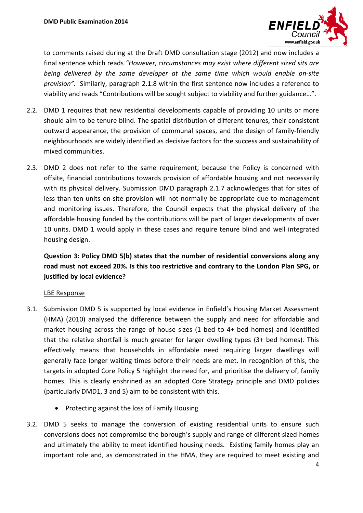

to comments raised during at the Draft DMD consultation stage (2012) and now includes a final sentence which reads *"However, circumstances may exist where different sized sits are being delivered by the same developer at the same time which would enable on-site provision".* Similarly, paragraph 2.1.8 within the first sentence now includes a reference to viability and reads "Contributions will be sought subject to viability and further guidance…".

- 2.2. DMD 1 requires that new residential developments capable of providing 10 units or more should aim to be tenure blind. The spatial distribution of different tenures, their consistent outward appearance, the provision of communal spaces, and the design of family-friendly neighbourhoods are widely identified as decisive factors for the success and sustainability of mixed communities.
- 2.3. DMD 2 does not refer to the same requirement, because the Policy is concerned with offsite, financial contributions towards provision of affordable housing and not necessarily with its physical delivery. Submission DMD paragraph 2.1.7 acknowledges that for sites of less than ten units on-site provision will not normally be appropriate due to management and monitoring issues. Therefore, the Council expects that the physical delivery of the affordable housing funded by the contributions will be part of larger developments of over 10 units. DMD 1 would apply in these cases and require tenure blind and well integrated housing design.

**Question 3: Policy DMD 5(b) states that the number of residential conversions along any road must not exceed 20%. Is this too restrictive and contrary to the London Plan SPG, or justified by local evidence?**

#### LBE Response

- 3.1. Submission DMD 5 is supported by local evidence in Enfield's Housing Market Assessment (HMA) (2010) analysed the difference between the supply and need for affordable and market housing across the range of house sizes (1 bed to 4+ bed homes) and identified that the relative shortfall is much greater for larger dwelling types (3+ bed homes). This effectively means that households in affordable need requiring larger dwellings will generally face longer waiting times before their needs are met. In recognition of this, the targets in adopted Core Policy 5 highlight the need for, and prioritise the delivery of, family homes. This is clearly enshrined as an adopted Core Strategy principle and DMD policies (particularly DMD1, 3 and 5) aim to be consistent with this.
	- Protecting against the loss of Family Housing
- 3.2. DMD 5 seeks to manage the conversion of existing residential units to ensure such conversions does not compromise the borough's supply and range of different sized homes and ultimately the ability to meet identified housing needs. Existing family homes play an important role and, as demonstrated in the HMA, they are required to meet existing and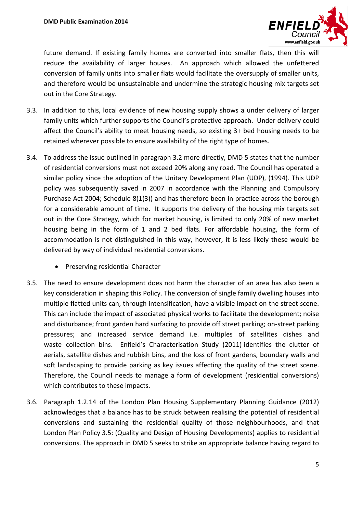

future demand. If existing family homes are converted into smaller flats, then this will reduce the availability of larger houses. An approach which allowed the unfettered conversion of family units into smaller flats would facilitate the oversupply of smaller units, and therefore would be unsustainable and undermine the strategic housing mix targets set out in the Core Strategy.

- 3.3. In addition to this, local evidence of new housing supply shows a under delivery of larger family units which further supports the Council's protective approach. Under delivery could affect the Council's ability to meet housing needs, so existing 3+ bed housing needs to be retained wherever possible to ensure availability of the right type of homes.
- 3.4. To address the issue outlined in paragraph 3.2 more directly, DMD 5 states that the number of residential conversions must not exceed 20% along any road. The Council has operated a similar policy since the adoption of the Unitary Development Plan (UDP), (1994). This UDP policy was subsequently saved in 2007 in accordance with the Planning and Compulsory Purchase Act 2004; Schedule 8(1(3)) and has therefore been in practice across the borough for a considerable amount of time. It supports the delivery of the housing mix targets set out in the Core Strategy, which for market housing, is limited to only 20% of new market housing being in the form of 1 and 2 bed flats. For affordable housing, the form of accommodation is not distinguished in this way, however, it is less likely these would be delivered by way of individual residential conversions.
	- Preserving residential Character
- 3.5. The need to ensure development does not harm the character of an area has also been a key consideration in shaping this Policy. The conversion of single family dwelling houses into multiple flatted units can, through intensification, have a visible impact on the street scene. This can include the impact of associated physical works to facilitate the development; noise and disturbance; front garden hard surfacing to provide off street parking; on-street parking pressures; and increased service demand i.e. multiples of satellites dishes and waste collection bins. Enfield's Characterisation Study (2011) identifies the clutter of aerials, satellite dishes and rubbish bins, and the loss of front gardens, boundary walls and soft landscaping to provide parking as key issues affecting the quality of the street scene. Therefore, the Council needs to manage a form of development (residential conversions) which contributes to these impacts.
- 3.6. Paragraph 1.2.14 of the London Plan Housing Supplementary Planning Guidance (2012) acknowledges that a balance has to be struck between realising the potential of residential conversions and sustaining the residential quality of those neighbourhoods, and that London Plan Policy 3.5: (Quality and Design of Housing Developments) applies to residential conversions. The approach in DMD 5 seeks to strike an appropriate balance having regard to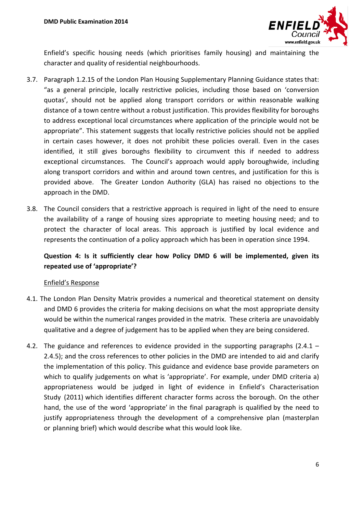

Enfield's specific housing needs (which prioritises family housing) and maintaining the character and quality of residential neighbourhoods.

- 3.7. Paragraph 1.2.15 of the London Plan Housing Supplementary Planning Guidance states that: "as a general principle, locally restrictive policies, including those based on 'conversion quotas', should not be applied along transport corridors or within reasonable walking distance of a town centre without a robust justification. This provides flexibility for boroughs to address exceptional local circumstances where application of the principle would not be appropriate". This statement suggests that locally restrictive policies should not be applied in certain cases however, it does not prohibit these policies overall. Even in the cases identified, it still gives boroughs flexibility to circumvent this if needed to address exceptional circumstances. The Council's approach would apply boroughwide, including along transport corridors and within and around town centres, and justification for this is provided above. The Greater London Authority (GLA) has raised no objections to the approach in the DMD.
- 3.8. The Council considers that a restrictive approach is required in light of the need to ensure the availability of a range of housing sizes appropriate to meeting housing need; and to protect the character of local areas. This approach is justified by local evidence and represents the continuation of a policy approach which has been in operation since 1994.

### **Question 4: Is it sufficiently clear how Policy DMD 6 will be implemented, given its repeated use of 'appropriate'?**

### Enfield's Response

- 4.1. The London Plan Density Matrix provides a numerical and theoretical statement on density and DMD 6 provides the criteria for making decisions on what the most appropriate density would be within the numerical ranges provided in the matrix. These criteria are unavoidably qualitative and a degree of judgement has to be applied when they are being considered.
- 4.2. The guidance and references to evidence provided in the supporting paragraphs (2.4.1 2.4.5); and the cross references to other policies in the DMD are intended to aid and clarify the implementation of this policy. This guidance and evidence base provide parameters on which to qualify judgements on what is 'appropriate'. For example, under DMD criteria a) appropriateness would be judged in light of evidence in Enfield's Characterisation Study (2011) which identifies different character forms across the borough. On the other hand, the use of the word 'appropriate' in the final paragraph is qualified by the need to justify appropriateness through the development of a comprehensive plan (masterplan or planning brief) which would describe what this would look like.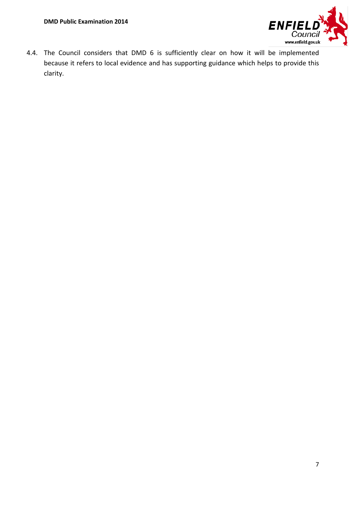

4.4. The Council considers that DMD 6 is sufficiently clear on how it will be implemented because it refers to local evidence and has supporting guidance which helps to provide this clarity.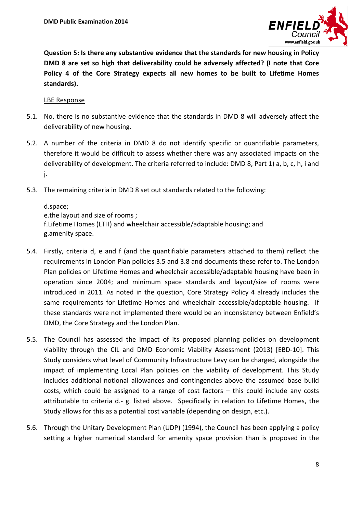

**Question 5: Is there any substantive evidence that the standards for new housing in Policy DMD 8 are set so high that deliverability could be adversely affected? (I note that Core Policy 4 of the Core Strategy expects all new homes to be built to Lifetime Homes standards).**

#### LBE Response

- 5.1. No, there is no substantive evidence that the standards in DMD 8 will adversely affect the deliverability of new housing.
- 5.2. A number of the criteria in DMD 8 do not identify specific or quantifiable parameters, therefore it would be difficult to assess whether there was any associated impacts on the deliverability of development. The criteria referred to include: DMD 8, Part 1) a, b, c, h, i and j.
- 5.3. The remaining criteria in DMD 8 set out standards related to the following:

d.space; e.the layout and size of rooms ; f.Lifetime Homes (LTH) and wheelchair accessible/adaptable housing; and g.amenity space.

- 5.4. Firstly, criteria d, e and f (and the quantifiable parameters attached to them) reflect the requirements in London Plan policies 3.5 and 3.8 and documents these refer to. The London Plan policies on Lifetime Homes and wheelchair accessible/adaptable housing have been in operation since 2004; and minimum space standards and layout/size of rooms were introduced in 2011. As noted in the question, Core Strategy Policy 4 already includes the same requirements for Lifetime Homes and wheelchair accessible/adaptable housing. If these standards were not implemented there would be an inconsistency between Enfield's DMD, the Core Strategy and the London Plan.
- 5.5. The Council has assessed the impact of its proposed planning policies on development viability through the CIL and DMD Economic Viability Assessment (2013) [EBD-10]. This Study considers what level of Community Infrastructure Levy can be charged, alongside the impact of implementing Local Plan policies on the viability of development. This Study includes additional notional allowances and contingencies above the assumed base build costs, which could be assigned to a range of cost factors – this could include any costs attributable to criteria d.- g. listed above. Specifically in relation to Lifetime Homes, the Study allows for this as a potential cost variable (depending on design, etc.).
- 5.6. Through the Unitary Development Plan (UDP) (1994), the Council has been applying a policy setting a higher numerical standard for amenity space provision than is proposed in the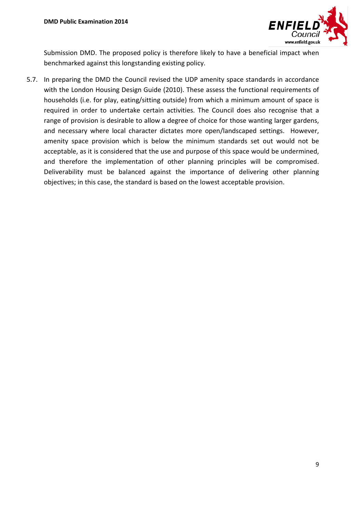

Submission DMD. The proposed policy is therefore likely to have a beneficial impact when benchmarked against this longstanding existing policy.

5.7. In preparing the DMD the Council revised the UDP amenity space standards in accordance with the London Housing Design Guide (2010). These assess the functional requirements of households (i.e. for play, eating/sitting outside) from which a minimum amount of space is required in order to undertake certain activities. The Council does also recognise that a range of provision is desirable to allow a degree of choice for those wanting larger gardens, and necessary where local character dictates more open/landscaped settings. However, amenity space provision which is below the minimum standards set out would not be acceptable, as it is considered that the use and purpose of this space would be undermined, and therefore the implementation of other planning principles will be compromised. Deliverability must be balanced against the importance of delivering other planning objectives; in this case, the standard is based on the lowest acceptable provision.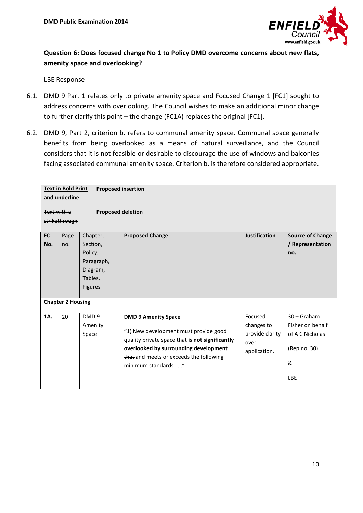

## **Question 6: Does focused change No 1 to Policy DMD overcome concerns about new flats, amenity space and overlooking?**

#### LBE Response

- 6.1. DMD 9 Part 1 relates only to private amenity space and Focused Change 1 [FC1] sought to address concerns with overlooking. The Council wishes to make an additional minor change to further clarify this point – the change (FC1A) replaces the original [FC1].
- 6.2. DMD 9, Part 2, criterion b. refers to communal amenity space. Communal space generally benefits from being overlooked as a means of natural surveillance, and the Council considers that it is not feasible or desirable to discourage the use of windows and balconies facing associated communal amenity space. Criterion b. is therefore considered appropriate.

| <b>Text in Bold Print</b><br><b>Proposed insertion</b><br>and underline<br><b>Proposed deletion</b><br>Text with a<br>strikethrough |                          |                                                                                        |                                                                                                                                                                                                                                   |                                                                  |                                                                                          |  |  |  |  |  |
|-------------------------------------------------------------------------------------------------------------------------------------|--------------------------|----------------------------------------------------------------------------------------|-----------------------------------------------------------------------------------------------------------------------------------------------------------------------------------------------------------------------------------|------------------------------------------------------------------|------------------------------------------------------------------------------------------|--|--|--|--|--|
| <b>FC</b><br>No.                                                                                                                    | Page<br>no.              | Chapter,<br>Section,<br>Policy,<br>Paragraph,<br>Diagram,<br>Tables,<br><b>Figures</b> | <b>Proposed Change</b>                                                                                                                                                                                                            | <b>Justification</b>                                             | <b>Source of Change</b><br>/ Representation<br>no.                                       |  |  |  |  |  |
|                                                                                                                                     | <b>Chapter 2 Housing</b> |                                                                                        |                                                                                                                                                                                                                                   |                                                                  |                                                                                          |  |  |  |  |  |
| 1A.                                                                                                                                 | 20                       | DMD <sub>9</sub><br>Amenity<br>Space                                                   | <b>DMD 9 Amenity Space</b><br>"1) New development must provide good<br>quality private space that is not significantly<br>overlooked by surrounding development<br>that and meets or exceeds the following<br>minimum standards " | Focused<br>changes to<br>provide clarity<br>over<br>application. | $30 -$ Graham<br>Fisher on behalf<br>of A C Nicholas<br>(Rep no. 30).<br>&<br><b>LBE</b> |  |  |  |  |  |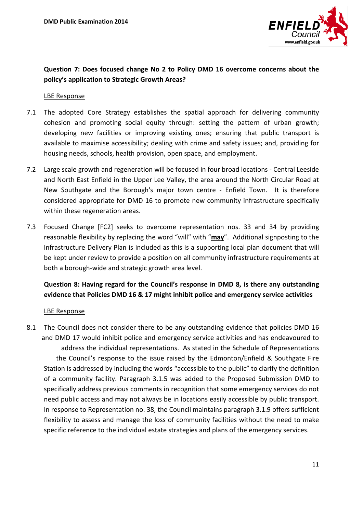

### **Question 7: Does focused change No 2 to Policy DMD 16 overcome concerns about the policy's application to Strategic Growth Areas?**

#### LBE Response

- 7.1 The adopted Core Strategy establishes the spatial approach for delivering community cohesion and promoting social equity through: setting the pattern of urban growth; developing new facilities or improving existing ones; ensuring that public transport is available to maximise accessibility; dealing with crime and safety issues; and, providing for housing needs, schools, health provision, open space, and employment.
- 7.2 Large scale growth and regeneration will be focused in four broad locations Central Leeside and North East Enfield in the Upper Lee Valley, the area around the North Circular Road at New Southgate and the Borough's major town centre - Enfield Town. It is therefore considered appropriate for DMD 16 to promote new community infrastructure specifically within these regeneration areas.
- 7.3 Focused Change [FC2] seeks to overcome representation nos. 33 and 34 by providing reasonable flexibility by replacing the word "will" with "**may**". Additional signposting to the Infrastructure Delivery Plan is included as this is a supporting local plan document that will be kept under review to provide a position on all community infrastructure requirements at both a borough-wide and strategic growth area level.

### **Question 8: Having regard for the Council's response in DMD 8, is there any outstanding evidence that Policies DMD 16 & 17 might inhibit police and emergency service activities**

#### LBE Response

8.1 The Council does not consider there to be any outstanding evidence that policies DMD 16 and DMD 17 would inhibit police and emergency service activities and has endeavoured to address the individual representations. As stated in the Schedule of Representations the Council's response to the issue raised by the Edmonton/Enfield & Southgate Fire Station is addressed by including the words "accessible to the public" to clarify the definition of a community facility. Paragraph 3.1.5 was added to the Proposed Submission DMD to specifically address previous comments in recognition that some emergency services do not need public access and may not always be in locations easily accessible by public transport. In response to Representation no. 38, the Council maintains paragraph 3.1.9 offers sufficient flexibility to assess and manage the loss of community facilities without the need to make specific reference to the individual estate strategies and plans of the emergency services.